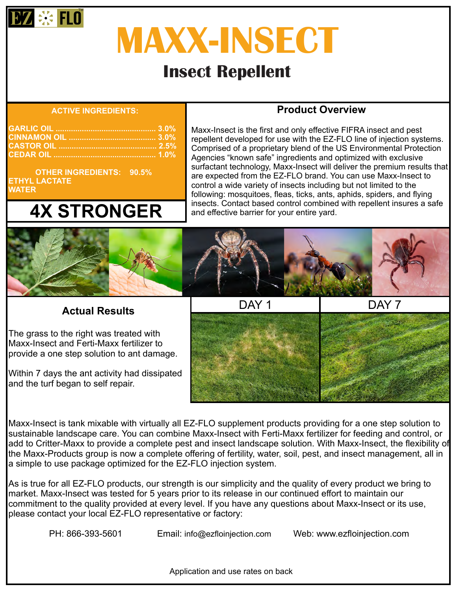

# **MAXX-INSECT**

# **Insect Repellent**

#### **ACTIVE INGREDIENTS:**

 **OTHER INGREDIENTS: 90.5% ETHYL LACTATE WATER**

# **4X STRONGER**

## **Product Overview**

Maxx-Insect is the first and only effective FIFRA insect and pest repellent developed for use with the EZ-FLO line of injection systems. Comprised of a proprietary blend of the US Environmental Protection Agencies "known safe" ingredients and optimized with exclusive surfactant technology, Maxx-Insect will deliver the premium results that are expected from the EZ-FLO brand. You can use Maxx-Insect to control a wide variety of insects including but not limited to the following: mosquitoes, fleas, ticks, ants, aphids, spiders, and flying insects. Contact based control combined with repellent insures a safe and effective barrier for your entire yard.



 **Actual Results**

The grass to the right was treated with Maxx-Insect and Ferti-Maxx fertilizer to provide a one step solution to ant damage.

Within 7 days the ant activity had dissipated and the turf began to self repair.



Maxx-Insect is tank mixable with virtually all EZ-FLO supplement products providing for a one step solution to sustainable landscape care. You can combine Maxx-Insect with Ferti-Maxx fertilizer for feeding and control, or add to Critter-Maxx to provide a complete pest and insect landscape solution. With Maxx-Insect, the flexibility of the Maxx-Products group is now a complete offering of fertility, water, soil, pest, and insect management, all in a simple to use package optimized for the EZ-FLO injection system.

As is true for all EZ-FLO products, our strength is our simplicity and the quality of every product we bring to market. Maxx-Insect was tested for 5 years prior to its release in our continued effort to maintain our commitment to the quality provided at every level. If you have any questions about Maxx-Insect or its use, please contact your local EZ-FLO representative or factory:

PH: 866-393-5601 Email: info@ezfloinjection.com Web: www.ezfloinjection.com

Application and use rates on back